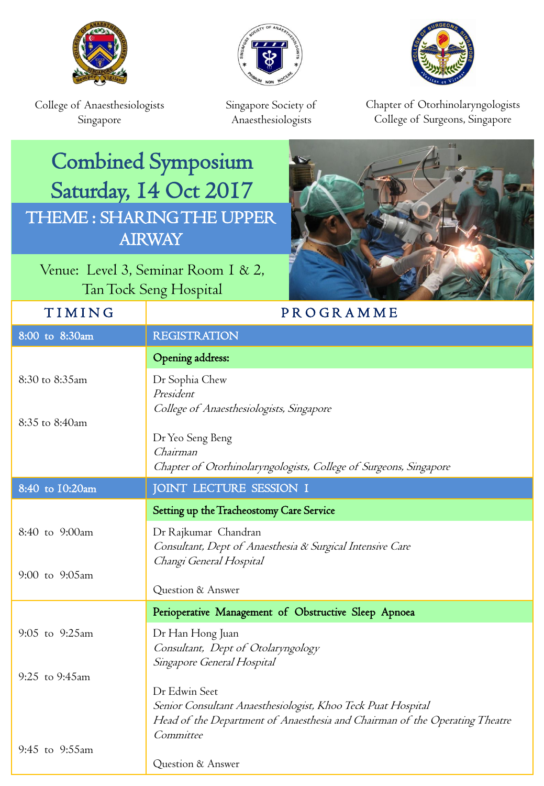





College of Anaesthesiologists Singapore

Singapore Society of Anaesthesiologists

Chapter of Otorhinolaryngologists College of Surgeons, Singapore

## Combined Symposium Saturday, 14 Oct 2017 THEME : SHARING THE UPPER AIRWAY

Venue: Level 3, Seminar Room 1 & 2, Tan Tock Seng Hospital

Committee

Question & Answer

## TIMING | PROGRAMME 8:00 to 8:30am REGISTRATION Opening address: 8:30 to 8:35am 8:35 to 8:40am Dr Sophia Chew President College of Anaesthesiologists, Singapore Dr Yeo Seng Beng Chairman Chapter of Otorhinolaryngologists, College of Surgeons, Singapore 8:40 to 10:20am JOINT LECTURE SESSION I Setting up the Tracheostomy Care Service 8:40 to 9:00am 9:00 to 9:05am Dr Rajkumar Chandran Consultant, Dept of Anaesthesia & Surgical Intensive Care Changi General Hospital Question & Answer Perioperative Management of Obstructive Sleep Apnoea 9:05 to 9:25am 9:25 to 9:45am Dr Han Hong Juan Consultant, Dept of Otolaryngology Singapore General Hospital Dr Edwin Seet Senior Consultant Anaesthesiologist, Khoo Teck Puat Hospital Head of the Department of Anaesthesia and Chairman of the Operating Theatre

9:45 to 9:55am